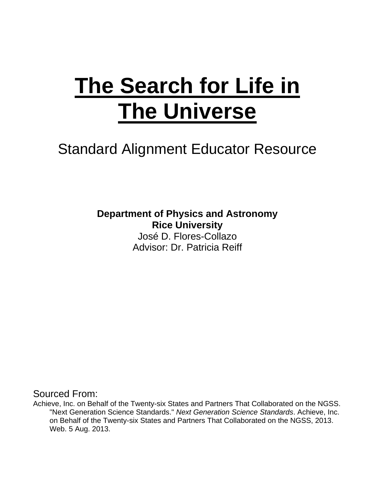# **The Search for Life in The Universe**

# Standard Alignment Educator Resource

**Department of Physics and Astronomy Rice University** 

José D. Flores-Collazo Advisor: Dr. Patricia Reiff

Sourced From:

Achieve, Inc. on Behalf of the Twenty-six States and Partners That Collaborated on the NGSS. "Next Generation Science Standards." *Next Generation Science Standards*. Achieve, Inc. on Behalf of the Twenty-six States and Partners That Collaborated on the NGSS, 2013. Web. 5 Aug. 2013.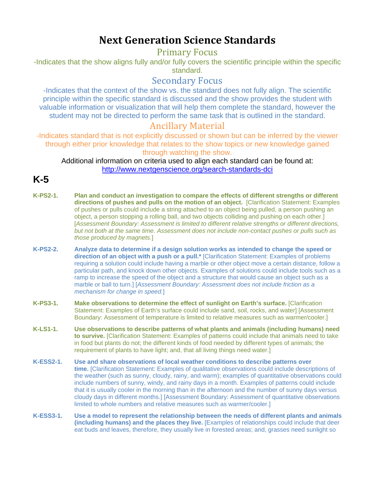## **Next Generation Science Standards**

Primary Focus 

-Indicates that the show aligns fully and/or fully covers the scientific principle within the specific standard.

#### **Secondary Focus**

-Indicates that the context of the show vs. the standard does not fully align. The scientific principle within the specific standard is discussed and the show provides the student with valuable information or visualization that will help them complete the standard, however the student may not be directed to perform the same task that is outlined in the standard.

#### Ancillary Material

-Indicates standard that is not explicitly discussed or shown but can be inferred by the viewer through either prior knowledge that relates to the show topics or new knowledge gained through watching the show.

Additional information on criteria used to align each standard can be found at: http://www.nextgenscience.org/search-standards-dci

#### **K-5**

- **K-PS2-1. Plan and conduct an investigation to compare the effects of different strengths or different directions of pushes and pulls on the motion of an object.** [Clarification Statement: Examples of pushes or pulls could include a string attached to an object being pulled, a person pushing an object, a person stopping a rolling ball, and two objects colliding and pushing on each other.] [*Assessment Boundary: Assessment is limited to different relative strengths or different directions, but not both at the same time. Assessment does not include non-contact pushes or pulls such as those produced by magnets.*]
- **K-PS2-2. Analyze data to determine if a design solution works as intended to change the speed or direction of an object with a push or a pull.\*** [Clarification Statement: Examples of problems requiring a solution could include having a marble or other object move a certain distance, follow a particular path, and knock down other objects. Examples of solutions could include tools such as a ramp to increase the speed of the object and a structure that would cause an object such as a marble or ball to turn.] [*Assessment Boundary: Assessment does not include friction as a mechanism for change in speed.*]
- **K-PS3-1. Make observations to determine the effect of sunlight on Earth's surface.** [Clarification Statement: Examples of Earth's surface could include sand, soil, rocks, and water] [Assessment Boundary: Assessment of temperature is limited to relative measures such as warmer/cooler.]
- **K-LS1-1. Use observations to describe patterns of what plants and animals (including humans) need to survive.** [Clarification Statement: Examples of patterns could include that animals need to take in food but plants do not; the different kinds of food needed by different types of animals; the requirement of plants to have light; and, that all living things need water.]
- **K-ESS2-1. Use and share observations of local weather conditions to describe patterns over time.** [Clarification Statement: Examples of qualitative observations could include descriptions of the weather (such as sunny, cloudy, rainy, and warm); examples of quantitative observations could include numbers of sunny, windy, and rainy days in a month. Examples of patterns could include that it is usually cooler in the morning than in the afternoon and the number of sunny days versus cloudy days in different months.] [Assessment Boundary: Assessment of quantitative observations limited to whole numbers and relative measures such as warmer/cooler.]
- **K-ESS3-1. Use a model to represent the relationship between the needs of different plants and animals (including humans) and the places they live.** [Examples of relationships could include that deer eat buds and leaves, therefore, they usually live in forested areas; and, grasses need sunlight so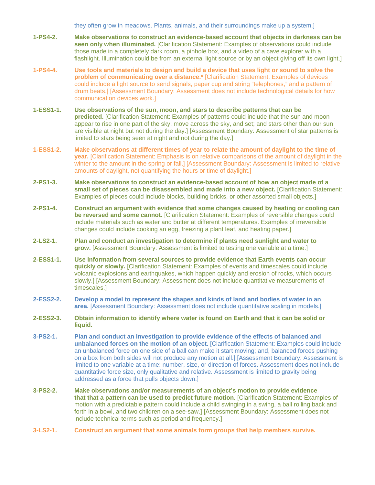they often grow in meadows. Plants, animals, and their surroundings make up a system.]

- **1-PS4-2. Make observations to construct an evidence-based account that objects in darkness can be seen only when illuminated.** [Clarification Statement: Examples of observations could include those made in a completely dark room, a pinhole box, and a video of a cave explorer with a flashlight. Illumination could be from an external light source or by an object giving off its own light.]
- **1-PS4-4. Use tools and materials to design and build a device that uses light or sound to solve the problem of communicating over a distance.\*** [Clarification Statement: Examples of devices could include a light source to send signals, paper cup and string "telephones," and a pattern of drum beats.] [Assessment Boundary: Assessment does not include technological details for how communication devices work.]
- **1-ESS1-1. Use observations of the sun, moon, and stars to describe patterns that can be predicted.** [Clarification Statement: Examples of patterns could include that the sun and moon appear to rise in one part of the sky, move across the sky, and set; and stars other than our sun are visible at night but not during the day.] [Assessment Boundary: Assessment of star patterns is limited to stars being seen at night and not during the day.]
- **1-ESS1-2. Make observations at different times of year to relate the amount of daylight to the time of year.** [Clarification Statement: Emphasis is on relative comparisons of the amount of daylight in the winter to the amount in the spring or fall.] [Assessment Boundary: Assessment is limited to relative amounts of daylight, not quantifying the hours or time of daylight.]
- **2-PS1-3. Make observations to construct an evidence-based account of how an object made of a small set of pieces can be disassembled and made into a new object.** [Clarification Statement: Examples of pieces could include blocks, building bricks, or other assorted small objects.]
- **2-PS1-4. Construct an argument with evidence that some changes caused by heating or cooling can be reversed and some cannot.** [Clarification Statement: Examples of reversible changes could include materials such as water and butter at different temperatures. Examples of irreversible changes could include cooking an egg, freezing a plant leaf, and heating paper.]
- **2-LS2-1. Plan and conduct an investigation to determine if plants need sunlight and water to grow.** [Assessment Boundary: Assessment is limited to testing one variable at a time.]
- **2-ESS1-1. Use information from several sources to provide evidence that Earth events can occur quickly or slowly.** [Clarification Statement: Examples of events and timescales could include volcanic explosions and earthquakes, which happen quickly and erosion of rocks, which occurs slowly.] [Assessment Boundary: Assessment does not include quantitative measurements of timescales.]
- **2-ESS2-2. Develop a model to represent the shapes and kinds of land and bodies of water in an area.** [Assessment Boundary: Assessment does not include quantitative scaling in models.]
- **2-ESS2-3. Obtain information to identify where water is found on Earth and that it can be solid or liquid.**
- **3-PS2-1. Plan and conduct an investigation to provide evidence of the effects of balanced and unbalanced forces on the motion of an object.** [Clarification Statement: Examples could include an unbalanced force on one side of a ball can make it start moving; and, balanced forces pushing on a box from both sides will not produce any motion at all.] [Assessment Boundary: Assessment is limited to one variable at a time: number, size, or direction of forces. Assessment does not include quantitative force size, only qualitative and relative. Assessment is limited to gravity being addressed as a force that pulls objects down.]
- **3-PS2-2. Make observations and/or measurements of an object's motion to provide evidence that that a pattern can be used to predict future motion.** [Clarification Statement: Examples of motion with a predictable pattern could include a child swinging in a swing, a ball rolling back and forth in a bowl, and two children on a see-saw.] [Assessment Boundary: Assessment does not include technical terms such as period and frequency.]
- **3-LS2-1. Construct an argument that some animals form groups that help members survive.**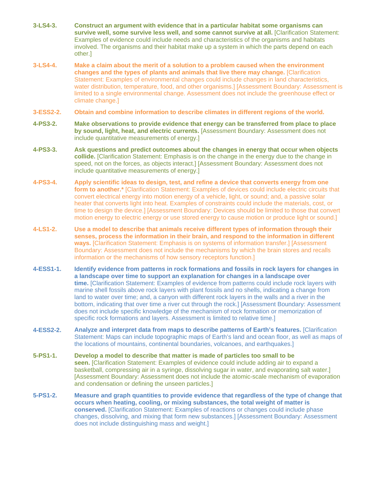- **3-LS4-3. Construct an argument with evidence that in a particular habitat some organisms can survive well, some survive less well, and some cannot survive at all.** [Clarification Statement: Examples of evidence could include needs and characteristics of the organisms and habitats involved. The organisms and their habitat make up a system in which the parts depend on each other.]
- **3-LS4-4. Make a claim about the merit of a solution to a problem caused when the environment changes and the types of plants and animals that live there may change.** [Clarification Statement: Examples of environmental changes could include changes in land characteristics, water distribution, temperature, food, and other organisms.] [Assessment Boundary: Assessment is limited to a single environmental change. Assessment does not include the greenhouse effect or climate change.]
- **3-ESS2-2. Obtain and combine information to describe climates in different regions of the world.**
- **4-PS3-2. Make observations to provide evidence that energy can be transferred from place to place by sound, light, heat, and electric currents.** [Assessment Boundary: Assessment does not include quantitative measurements of energy.]
- **4-PS3-3. Ask questions and predict outcomes about the changes in energy that occur when objects collide.** [Clarification Statement: Emphasis is on the change in the energy due to the change in speed, not on the forces, as objects interact.] [Assessment Boundary: Assessment does not include quantitative measurements of energy.]
- **4-PS3-4. Apply scientific ideas to design, test, and refine a device that converts energy from one form to another.\*** [Clarification Statement: Examples of devices could include electric circuits that convert electrical energy into motion energy of a vehicle, light, or sound; and, a passive solar heater that converts light into heat. Examples of constraints could include the materials, cost, or time to design the device.] [Assessment Boundary: Devices should be limited to those that convert motion energy to electric energy or use stored energy to cause motion or produce light or sound.]
- **4-LS1-2. Use a model to describe that animals receive different types of information through their senses, process the information in their brain, and respond to the information in different ways.** [Clarification Statement: Emphasis is on systems of information transfer.] [Assessment Boundary: Assessment does not include the mechanisms by which the brain stores and recalls information or the mechanisms of how sensory receptors function.]
- **4-ESS1-1. Identify evidence from patterns in rock formations and fossils in rock layers for changes in a landscape over time to support an explanation for changes in a landscape over time.** [Clarification Statement: Examples of evidence from patterns could include rock layers with marine shell fossils above rock layers with plant fossils and no shells, indicating a change from land to water over time; and, a canyon with different rock layers in the walls and a river in the bottom, indicating that over time a river cut through the rock.] [Assessment Boundary: Assessment does not include specific knowledge of the mechanism of rock formation or memorization of specific rock formations and layers. Assessment is limited to relative time.]
- **4-ESS2-2. Analyze and interpret data from maps to describe patterns of Earth's features.** [Clarification Statement: Maps can include topographic maps of Earth's land and ocean floor, as well as maps of the locations of mountains, continental boundaries, volcanoes, and earthquakes.]
- **5-PS1-1. Develop a model to describe that matter is made of particles too small to be seen.** [Clarification Statement: Examples of evidence could include adding air to expand a basketball, compressing air in a syringe, dissolving sugar in water, and evaporating salt water.] [Assessment Boundary: Assessment does not include the atomic-scale mechanism of evaporation and condensation or defining the unseen particles.]
- **5-PS1-2. Measure and graph quantities to provide evidence that regardless of the type of change that occurs when heating, cooling, or mixing substances, the total weight of matter is conserved.** [Clarification Statement: Examples of reactions or changes could include phase changes, dissolving, and mixing that form new substances.] [Assessment Boundary: Assessment does not include distinguishing mass and weight.]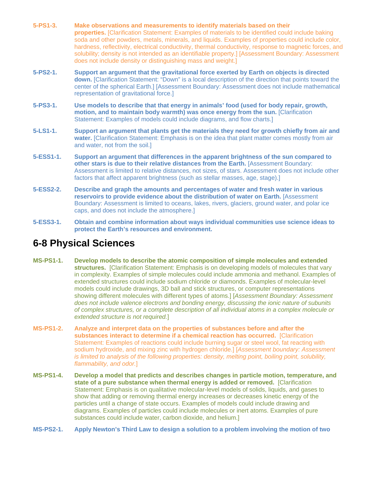- **5-PS1-3. Make observations and measurements to identify materials based on their properties.** [Clarification Statement: Examples of materials to be identified could include baking soda and other powders, metals, minerals, and liquids. Examples of properties could include color, hardness, reflectivity, electrical conductivity, thermal conductivity, response to magnetic forces, and solubility; density is not intended as an identifiable property.] [Assessment Boundary: Assessment does not include density or distinguishing mass and weight.]
- **5-PS2-1. Support an argument that the gravitational force exerted by Earth on objects is directed down.** [Clarification Statement: "Down" is a local description of the direction that points toward the center of the spherical Earth.] [Assessment Boundary: Assessment does not include mathematical representation of gravitational force.]
- **5-PS3-1. Use models to describe that that energy in animals' food (used for body repair, growth, motion, and to maintain body warmth) was once energy from the sun.** [Clarification Statement: Examples of models could include diagrams, and flow charts.]
- **5-LS1-1. Support an argument that plants get the materials they need for growth chiefly from air and water.** [Clarification Statement: Emphasis is on the idea that plant matter comes mostly from air and water, not from the soil.]
- **5-ESS1-1. Support an argument that differences in the apparent brightness of the sun compared to other stars is due to their relative distances from the Earth.** [Assessment Boundary: Assessment is limited to relative distances, not sizes, of stars. Assessment does not include other factors that affect apparent brightness (such as stellar masses, age, stage).]
- **5-ESS2-2. Describe and graph the amounts and percentages of water and fresh water in various reservoirs to provide evidence about the distribution of water on Earth.** [Assessment Boundary: Assessment is limited to oceans, lakes, rivers, glaciers, ground water, and polar ice caps, and does not include the atmosphere.]
- **5-ESS3-1. Obtain and combine information about ways individual communities use science ideas to protect the Earth's resources and environment.**

#### **6-8 Physical Sciences**

- **MS-PS1-1. Develop models to describe the atomic composition of simple molecules and extended structures.** [Clarification Statement: Emphasis is on developing models of molecules that vary in complexity. Examples of simple molecules could include ammonia and methanol. Examples of extended structures could include sodium chloride or diamonds. Examples of molecular-level models could include drawings, 3D ball and stick structures, or computer representations showing different molecules with different types of atoms.] [*Assessment Boundary: Assessment does not include valence electrons and bonding energy, discussing the ionic nature of subunits of complex structures, or a complete description of all individual atoms in a complex molecule or extended structure is not required.*]
- **MS-PS1-2. Analyze and interpret data on the properties of substances before and after the substances interact to determine if a chemical reaction has occurred.** [Clarification Statement: Examples of reactions could include burning sugar or steel wool, fat reacting with sodium hydroxide, and mixing zinc with hydrogen chloride.] [*Assessment boundary: Assessment is limited to analysis of the following properties: density, melting point, boiling point, solubility, flammability, and odor.*]
- **MS-PS1-4. Develop a model that predicts and describes changes in particle motion, temperature, and state of a pure substance when thermal energy is added or removed.** [Clarification Statement: Emphasis is on qualitative molecular-level models of solids, liquids, and gases to show that adding or removing thermal energy increases or decreases kinetic energy of the particles until a change of state occurs. Examples of models could include drawing and diagrams. Examples of particles could include molecules or inert atoms. Examples of pure substances could include water, carbon dioxide, and helium.]
- **MS-PS2-1. Apply Newton's Third Law to design a solution to a problem involving the motion of two**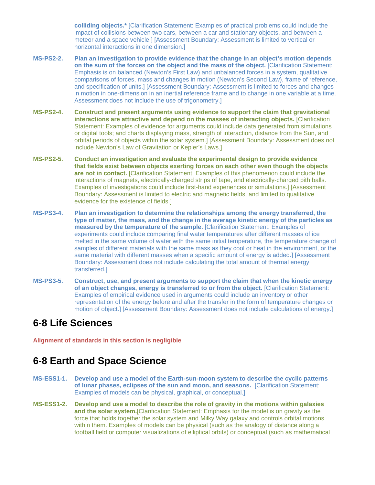**colliding objects.\*** [Clarification Statement: Examples of practical problems could include the impact of collisions between two cars, between a car and stationary objects, and between a meteor and a space vehicle.] [Assessment Boundary: Assessment is limited to vertical or horizontal interactions in one dimension.]

- **MS-PS2-2. Plan an investigation to provide evidence that the change in an object's motion depends on the sum of the forces on the object and the mass of the object.** [Clarification Statement: Emphasis is on balanced (Newton's First Law) and unbalanced forces in a system, qualitative comparisons of forces, mass and changes in motion (Newton's Second Law), frame of reference, and specification of units.] [Assessment Boundary: Assessment is limited to forces and changes in motion in one-dimension in an inertial reference frame and to change in one variable at a time. Assessment does not include the use of trigonometry.]
- **MS-PS2-4. Construct and present arguments using evidence to support the claim that gravitational interactions are attractive and depend on the masses of interacting objects.** [Clarification Statement: Examples of evidence for arguments could include data generated from simulations or digital tools; and charts displaying mass, strength of interaction, distance from the Sun, and orbital periods of objects within the solar system.] [Assessment Boundary: Assessment does not include Newton's Law of Gravitation or Kepler's Laws.]
- **MS-PS2-5. Conduct an investigation and evaluate the experimental design to provide evidence that fields exist between objects exerting forces on each other even though the objects are not in contact.** [Clarification Statement: Examples of this phenomenon could include the interactions of magnets, electrically-charged strips of tape, and electrically-charged pith balls. Examples of investigations could include first-hand experiences or simulations.] [Assessment Boundary: Assessment is limited to electric and magnetic fields, and limited to qualitative evidence for the existence of fields.]
- **MS-PS3-4. Plan an investigation to determine the relationships among the energy transferred, the type of matter, the mass, and the change in the average kinetic energy of the particles as measured by the temperature of the sample.** [Clarification Statement: Examples of experiments could include comparing final water temperatures after different masses of ice melted in the same volume of water with the same initial temperature, the temperature change of samples of different materials with the same mass as they cool or heat in the environment, or the same material with different masses when a specific amount of energy is added.] [Assessment Boundary: Assessment does not include calculating the total amount of thermal energy transferred.]
- **MS-PS3-5. Construct, use, and present arguments to support the claim that when the kinetic energy of an object changes, energy is transferred to or from the object.** [Clarification Statement: Examples of empirical evidence used in arguments could include an inventory or other representation of the energy before and after the transfer in the form of temperature changes or motion of object.] [Assessment Boundary: Assessment does not include calculations of energy.]

#### **6-8 Life Sciences**

**Alignment of standards in this section is negligible** 

### **6-8 Earth and Space Science**

- **MS-ESS1-1. Develop and use a model of the Earth-sun-moon system to describe the cyclic patterns of lunar phases, eclipses of the sun and moon, and seasons.** [Clarification Statement: Examples of models can be physical, graphical, or conceptual.]
- **MS-ESS1-2. Develop and use a model to describe the role of gravity in the motions within galaxies and the solar system.**[Clarification Statement: Emphasis for the model is on gravity as the force that holds together the solar system and Milky Way galaxy and controls orbital motions within them. Examples of models can be physical (such as the analogy of distance along a football field or computer visualizations of elliptical orbits) or conceptual (such as mathematical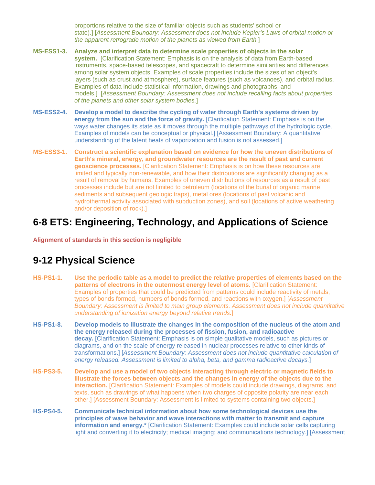proportions relative to the size of familiar objects such as students' school or state).] [*Assessment Boundary: Assessment does not include Kepler's Laws of orbital motion or the apparent retrograde motion of the planets as viewed from Earth.*]

**MS-ESS1-3. Analyze and interpret data to determine scale properties of objects in the solar system.** [Clarification Statement: Emphasis is on the analysis of data from Earth-based instruments, space-based telescopes, and spacecraft to determine similarities and differences among solar system objects. Examples of scale properties include the sizes of an object's layers (such as crust and atmosphere), surface features (such as volcanoes), and orbital radius. Examples of data include statistical information, drawings and photographs, and models.] [*Assessment Boundary: Assessment does not include recalling facts about properties of the planets and other solar system bodies.*]

- **MS-ESS2-4. Develop a model to describe the cycling of water through Earth's systems driven by energy from the sun and the force of gravity.** [Clarification Statement: Emphasis is on the ways water changes its state as it moves through the multiple pathways of the hydrologic cycle. Examples of models can be conceptual or physical.] [Assessment Boundary: A quantitative understanding of the latent heats of vaporization and fusion is not assessed.]
- **MS-ESS3-1. Construct a scientific explanation based on evidence for how the uneven distributions of Earth's mineral, energy, and groundwater resources are the result of past and current geoscience processes.** [Clarification Statement: Emphasis is on how these resources are limited and typically non-renewable, and how their distributions are significantly changing as a result of removal by humans. Examples of uneven distributions of resources as a result of past processes include but are not limited to petroleum (locations of the burial of organic marine sediments and subsequent geologic traps), metal ores (locations of past volcanic and hydrothermal activity associated with subduction zones), and soil (locations of active weathering and/or deposition of rock).]

### **6-8 ETS: Engineering, Technology, and Applications of Science**

**Alignment of standards in this section is negligible** 

### **9-12 Physical Science**

- **HS-PS1-1. Use the periodic table as a model to predict the relative properties of elements based on the patterns of electrons in the outermost energy level of atoms. [Clarification Statement:** Examples of properties that could be predicted from patterns could include reactivity of metals, types of bonds formed, numbers of bonds formed, and reactions with oxygen.] [*Assessment Boundary: Assessment is limited to main group elements. Assessment does not include quantitative understanding of ionization energy beyond relative trends.*]
- **HS-PS1-8. Develop models to illustrate the changes in the composition of the nucleus of the atom and the energy released during the processes of fission, fusion, and radioactive decay.** [Clarification Statement: Emphasis is on simple qualitative models, such as pictures or diagrams, and on the scale of energy released in nuclear processes relative to other kinds of transformations.] [*Assessment Boundary: Assessment does not include quantitative calculation of energy released. Assessment is limited to alpha, beta, and gamma radioactive decays.*]
- **HS-PS3-5. Develop and use a model of two objects interacting through electric or magnetic fields to illustrate the forces between objects and the changes in energy of the objects due to the interaction.** [Clarification Statement: Examples of models could include drawings, diagrams, and texts, such as drawings of what happens when two charges of opposite polarity are near each other.] [Assessment Boundary: Assessment is limited to systems containing two objects.]
- **HS-PS4-5. Communicate technical information about how some technological devices use the principles of wave behavior and wave interactions with matter to transmit and capture information and energy.\*** [Clarification Statement: Examples could include solar cells capturing light and converting it to electricity; medical imaging; and communications technology.] [Assessment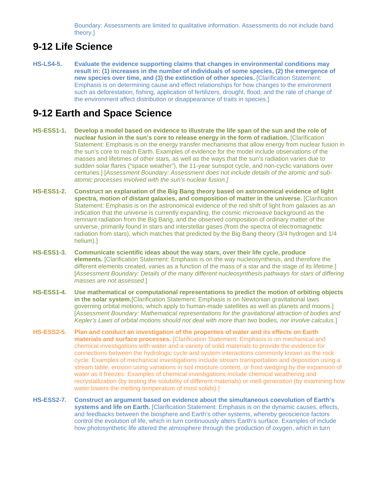Boundary: Assessments are limited to qualitative information. Assessments do not include band theory.]

### **9-12 Life Science**

**HS-LS4-5. Evaluate the evidence supporting claims that changes in environmental conditions may result in: (1) increases in the number of individuals of some species, (2) the emergence of new species over time, and (3) the extinction of other species.** [Clarification Statement: Emphasis is on determining cause and effect relationships for how changes to the environment such as deforestation, fishing, application of fertilizers, drought, flood, and the rate of change of the environment affect distribution or disappearance of traits in species.]

### **9-12 Earth and Space Science**

- **HS-ESS1-1. Develop a model based on evidence to illustrate the life span of the sun and the role of nuclear fusion in the sun's core to release energy in the form of radiation.** [Clarification Statement: Emphasis is on the energy transfer mechanisms that allow energy from nuclear fusion in the sun's core to reach Earth. Examples of evidence for the model include observations of the masses and lifetimes of other stars, as well as the ways that the sun's radiation varies due to sudden solar flares ("space weather"), the 11-year sunspot cycle, and non-cyclic variations over centuries.] [*Assessment Boundary: Assessment does not include details of the atomic and subatomic processes involved with the sun's nuclear fusion.]*
- **HS-ESS1-2. Construct an explanation of the Big Bang theory based on astronomical evidence of light spectra, motion of distant galaxies, and composition of matter in the universe.** [Clarification Statement: Emphasis is on the astronomical evidence of the red shift of light from galaxies as an indication that the universe is currently expanding, the cosmic microwave background as the remnant radiation from the Big Bang, and the observed composition of ordinary matter of the universe, primarily found in stars and interstellar gases (from the spectra of electromagnetic radiation from stars), which matches that predicted by the Big Bang theory (3/4 hydrogen and 1/4 helium).]
- **HS-ESS1-3. Communicate scientific ideas about the way stars, over their life cycle, produce elements.** [Clarification Statement: Emphasis is on the way nucleosynthesis, and therefore the different elements created, varies as a function of the mass of a star and the stage of its lifetime.] [*Assessment Boundary: Details of the many different nucleosynthesis pathways for stars of differing masses are not assessed.*]
- **HS-ESS1-4. Use mathematical or computational representations to predict the motion of orbiting objects in the solar system.**[Clarification Statement: Emphasis is on Newtonian gravitational laws governing orbital motions, which apply to human-made satellites as well as planets and moons.] [*Assessment Boundary: Mathematical representations for the gravitational attraction of bodies and Kepler's Laws of orbital motions should not deal with more than two bodies, nor involve calculus.*]
- **HS-ESS2-5. Plan and conduct an investigation of the properties of water and its effects on Earth materials and surface processes.** [Clarification Statement: Emphasis is on mechanical and chemical investigations with water and a variety of solid materials to provide the evidence for connections between the hydrologic cycle and system interactions commonly known as the rock cycle. Examples of mechanical investigations include stream transportation and deposition using a stream table, erosion using variations in soil moisture content, or frost wedging by the expansion of water as it freezes. Examples of chemical investigations include chemical weathering and recrystallization (by testing the solubility of different materials) or melt generation (by examining how water lowers the melting temperature of most solids).]
- **HS-ESS2-7. Construct an argument based on evidence about the simultaneous coevolution of Earth's systems and life on Earth.** [Clarification Statement: Emphasis is on the dynamic causes, effects, and feedbacks between the biosphere and Earth's other systems, whereby geoscience factors control the evolution of life, which in turn continuously alters Earth's surface. Examples of include how photosynthetic life altered the atmosphere through the production of oxygen, which in turn